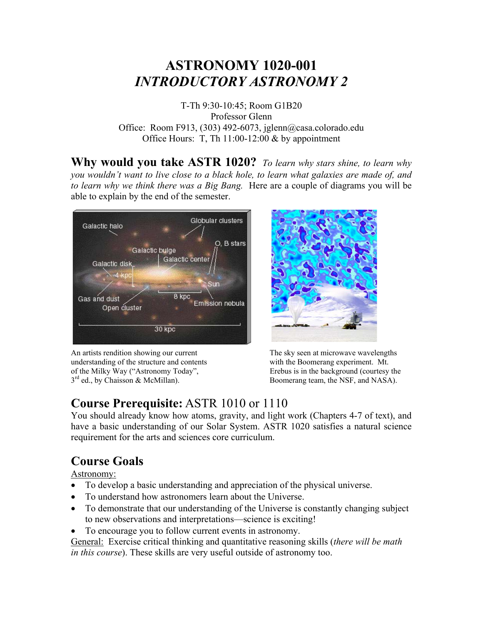# **ASTRONOMY 1020-001**  *INTRODUCTORY ASTRONOMY 2*

T-Th 9:30-10:45; Room G1B20 Professor Glenn Office: Room F913, (303) 492-6073, jglenn@casa.colorado.edu Office Hours: T, Th  $11:00-12:00$  & by appointment

**Why would you take ASTR 1020?** *To learn why stars shine, to learn why you wouldn't want to live close to a black hole, to learn what galaxies are made of, and to learn why we think there was a Big Bang.* Here are a couple of diagrams you will be able to explain by the end of the semester.



An artists rendition showing our current The sky seen at microwave wavelengths understanding of the structure and contents with the Boomerang experiment. Mt. of the Milky Way ("Astronomy Today", Erebus is in the background (courtesy the  $3<sup>rd</sup>$  ed., by Chaisson & McMillan). Boomerang team, the NSF, and NASA).



## **Course Prerequisite:** ASTR 1010 or 1110

You should already know how atoms, gravity, and light work (Chapters 4-7 of text), and have a basic understanding of our Solar System. ASTR 1020 satisfies a natural science requirement for the arts and sciences core curriculum.

## **Course Goals**

Astronomy:

- To develop a basic understanding and appreciation of the physical universe.
- To understand how astronomers learn about the Universe.
- To demonstrate that our understanding of the Universe is constantly changing subject to new observations and interpretations—science is exciting!
- To encourage you to follow current events in astronomy.

General: Exercise critical thinking and quantitative reasoning skills (*there will be math in this course*). These skills are very useful outside of astronomy too.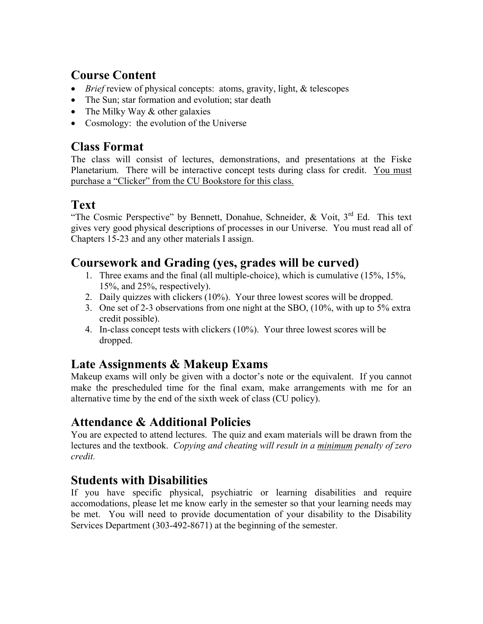## **Course Content**

- *Brief* review of physical concepts: atoms, gravity, light, & telescopes
- The Sun; star formation and evolution; star death
- The Milky Way & other galaxies
- Cosmology: the evolution of the Universe

### **Class Format**

The class will consist of lectures, demonstrations, and presentations at the Fiske Planetarium. There will be interactive concept tests during class for credit. You must purchase a "Clicker" from the CU Bookstore for this class.

## **Text**

"The Cosmic Perspective" by Bennett, Donahue, Schneider,  $\&$  Voit,  $3^{rd}$  Ed. This text gives very good physical descriptions of processes in our Universe. You must read all of Chapters 15-23 and any other materials I assign.

### **Coursework and Grading (yes, grades will be curved)**

- 1. Three exams and the final (all multiple-choice), which is cumulative (15%, 15%, 15%, and 25%, respectively).
- 2. Daily quizzes with clickers (10%). Your three lowest scores will be dropped.
- 3. One set of 2-3 observations from one night at the SBO, (10%, with up to 5% extra credit possible).
- 4. In-class concept tests with clickers (10%). Your three lowest scores will be dropped.

### **Late Assignments & Makeup Exams**

Makeup exams will only be given with a doctor's note or the equivalent. If you cannot make the prescheduled time for the final exam, make arrangements with me for an alternative time by the end of the sixth week of class (CU policy).

### **Attendance & Additional Policies**

You are expected to attend lectures. The quiz and exam materials will be drawn from the lectures and the textbook. *Copying and cheating will result in a minimum penalty of zero credit.*

### **Students with Disabilities**

If you have specific physical, psychiatric or learning disabilities and require accomodations, please let me know early in the semester so that your learning needs may be met. You will need to provide documentation of your disability to the Disability Services Department (303-492-8671) at the beginning of the semester.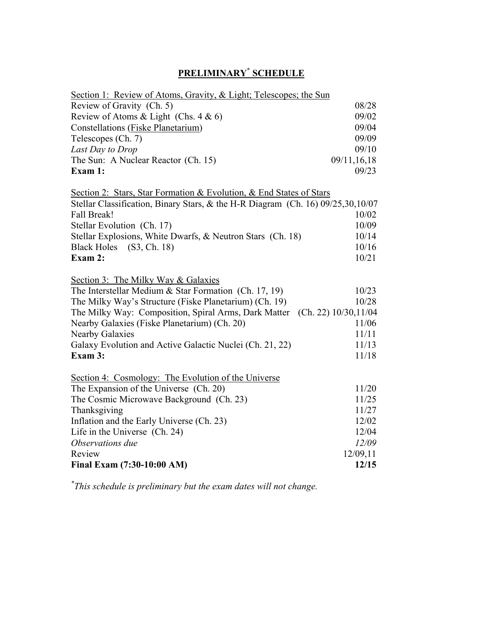#### **PRELIMINARY\* SCHEDULE**

| Section 1: Review of Atoms, Gravity, & Light; Telescopes; the Sun               |             |
|---------------------------------------------------------------------------------|-------------|
| Review of Gravity (Ch. 5)                                                       | 08/28       |
| Review of Atoms & Light (Chs. $4 & 6$ )                                         | 09/02       |
| Constellations (Fiske Planetarium)                                              | 09/04       |
| Telescopes (Ch. 7)                                                              | 09/09       |
| Last Day to Drop                                                                | 09/10       |
| The Sun: A Nuclear Reactor (Ch. 15)                                             | 09/11,16,18 |
| Exam 1:                                                                         | 09/23       |
| Section 2: Stars, Star Formation & Evolution, & End States of Stars             |             |
| Stellar Classification, Binary Stars, & the H-R Diagram (Ch. 16) 09/25,30,10/07 |             |
| Fall Break!                                                                     | 10/02       |
| Stellar Evolution (Ch. 17)                                                      | 10/09       |
| Stellar Explosions, White Dwarfs, & Neutron Stars (Ch. 18)                      | 10/14       |
| Black Holes (S3, Ch. 18)                                                        | 10/16       |
| Exam 2:                                                                         | 10/21       |
|                                                                                 |             |
| Section 3: The Milky Way & Galaxies                                             |             |
| The Interstellar Medium $&$ Star Formation (Ch. 17, 19)                         | 10/23       |
| The Milky Way's Structure (Fiske Planetarium) (Ch. 19)                          | 10/28       |
| The Milky Way: Composition, Spiral Arms, Dark Matter (Ch. 22) 10/30,11/04       |             |
| Nearby Galaxies (Fiske Planetarium) (Ch. 20)                                    | 11/06       |
| <b>Nearby Galaxies</b>                                                          | 11/11       |
| Galaxy Evolution and Active Galactic Nuclei (Ch. 21, 22)                        | 11/13       |
| Exam 3:                                                                         | 11/18       |
| Section 4: Cosmology: The Evolution of the Universe                             |             |
| The Expansion of the Universe (Ch. 20)                                          | 11/20       |
| The Cosmic Microwave Background (Ch. 23)                                        | 11/25       |
| Thanksgiving                                                                    | 11/27       |
| Inflation and the Early Universe (Ch. 23)                                       | 12/02       |
| Life in the Universe (Ch. 24)                                                   | 12/04       |
| Observations due                                                                | 12/09       |
| Review                                                                          | 12/09,11    |
| Final Exam (7:30-10:00 AM)                                                      | 12/15       |

*\* This schedule is preliminary but the exam dates will not change.*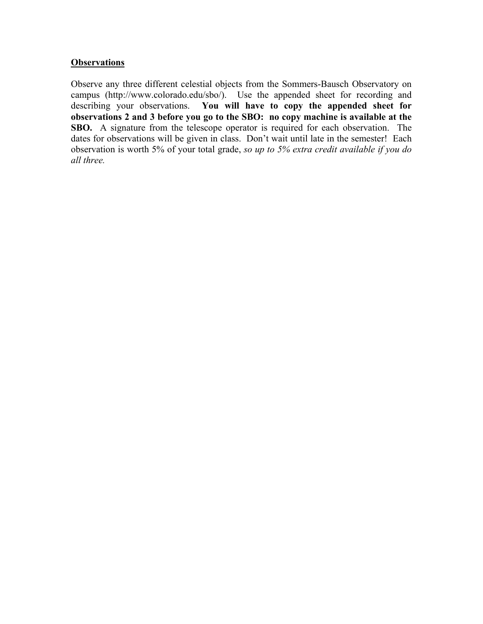#### **Observations**

Observe any three different celestial objects from the Sommers-Bausch Observatory on campus (http://www.colorado.edu/sbo/). Use the appended sheet for recording and describing your observations. **You will have to copy the appended sheet for observations 2 and 3 before you go to the SBO: no copy machine is available at the SBO.** A signature from the telescope operator is required for each observation. The dates for observations will be given in class. Don't wait until late in the semester! Each observation is worth 5% of your total grade, *so up to 5% extra credit available if you do all three.*